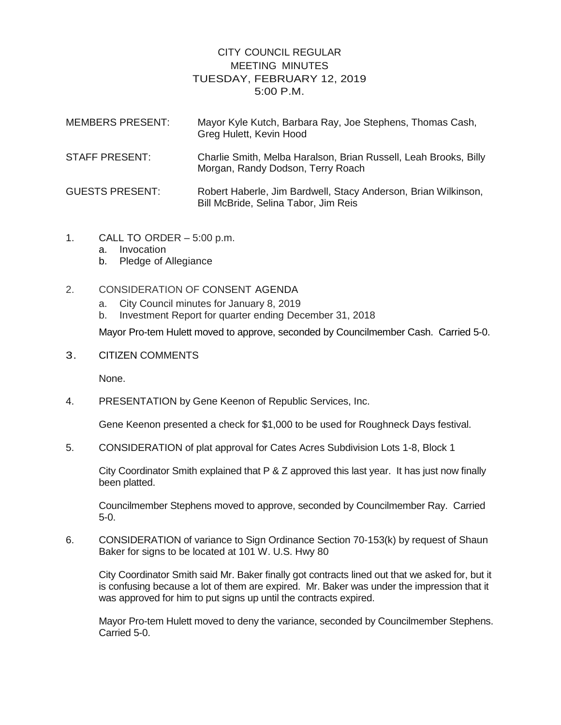## CITY COUNCIL REGULAR MEETING MINUTES TUESDAY, FEBRUARY 12, 2019 5:00 P.M.

| <b>MEMBERS PRESENT:</b> | Mayor Kyle Kutch, Barbara Ray, Joe Stephens, Thomas Cash,<br>Greg Hulett, Kevin Hood                   |
|-------------------------|--------------------------------------------------------------------------------------------------------|
| STAFF PRESENT:          | Charlie Smith, Melba Haralson, Brian Russell, Leah Brooks, Billy<br>Morgan, Randy Dodson, Terry Roach  |
| <b>GUESTS PRESENT:</b>  | Robert Haberle, Jim Bardwell, Stacy Anderson, Brian Wilkinson,<br>Bill McBride, Selina Tabor, Jim Reis |

- 1. CALL TO ORDER 5:00 p.m.
	- a. Invocation
	- b. Pledge of Allegiance
- 2. CONSIDERATION OF CONSENT AGENDA
	- a. City Council minutes for January 8, 2019
	- b. Investment Report for quarter ending December 31, 2018

Mayor Pro-tem Hulett moved to approve, seconded by Councilmember Cash. Carried 5-0.

3. CITIZEN COMMENTS

None.

4. PRESENTATION by Gene Keenon of Republic Services, Inc.

Gene Keenon presented a check for \$1,000 to be used for Roughneck Days festival.

5. CONSIDERATION of plat approval for Cates Acres Subdivision Lots 1-8, Block 1

City Coordinator Smith explained that P & Z approved this last year. It has just now finally been platted.

Councilmember Stephens moved to approve, seconded by Councilmember Ray. Carried 5-0.

6. CONSIDERATION of variance to Sign Ordinance Section 70-153(k) by request of Shaun Baker for signs to be located at 101 W. U.S. Hwy 80

City Coordinator Smith said Mr. Baker finally got contracts lined out that we asked for, but it is confusing because a lot of them are expired. Mr. Baker was under the impression that it was approved for him to put signs up until the contracts expired.

Mayor Pro-tem Hulett moved to deny the variance, seconded by Councilmember Stephens. Carried 5-0.